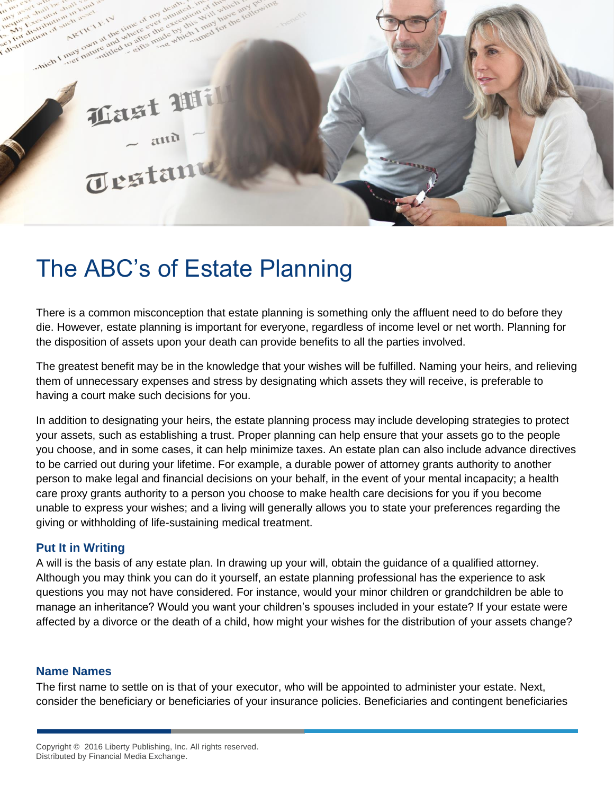# **Last Wi** Testant

effer there

the property of the time of the

district

which I may

IF the unit of over-<br>at the unterfect the

## The ABC's of Estate Planning

There is a common misconception that estate planning is something only the affluent need to do before they die. However, estate planning is important for everyone, regardless of income level or net worth. Planning for the disposition of assets upon your death can provide benefits to all the parties involved.

The greatest benefit may be in the knowledge that your wishes will be fulfilled. Naming your heirs, and relieving them of unnecessary expenses and stress by designating which assets they will receive, is preferable to having a court make such decisions for you.

In addition to designating your heirs, the estate planning process may include developing strategies to protect your assets, such as establishing a trust. Proper planning can help ensure that your assets go to the people you choose, and in some cases, it can help minimize taxes. An estate plan can also include advance directives to be carried out during your lifetime. For example, a durable power of attorney grants authority to another person to make legal and financial decisions on your behalf, in the event of your mental incapacity; a health care proxy grants authority to a person you choose to make health care decisions for you if you become unable to express your wishes; and a living will generally allows you to state your preferences regarding the giving or withholding of life-sustaining medical treatment.

#### **Put It in Writing**

A will is the basis of any estate plan. In drawing up your will, obtain the guidance of a qualified attorney. Although you may think you can do it yourself, an estate planning professional has the experience to ask questions you may not have considered. For instance, would your minor children or grandchildren be able to manage an inheritance? Would you want your children's spouses included in your estate? If your estate were affected by a divorce or the death of a child, how might your wishes for the distribution of your assets change?

#### **Name Names**

The first name to settle on is that of your executor, who will be appointed to administer your estate. Next, consider the beneficiary or beneficiaries of your insurance policies. Beneficiaries and contingent beneficiaries